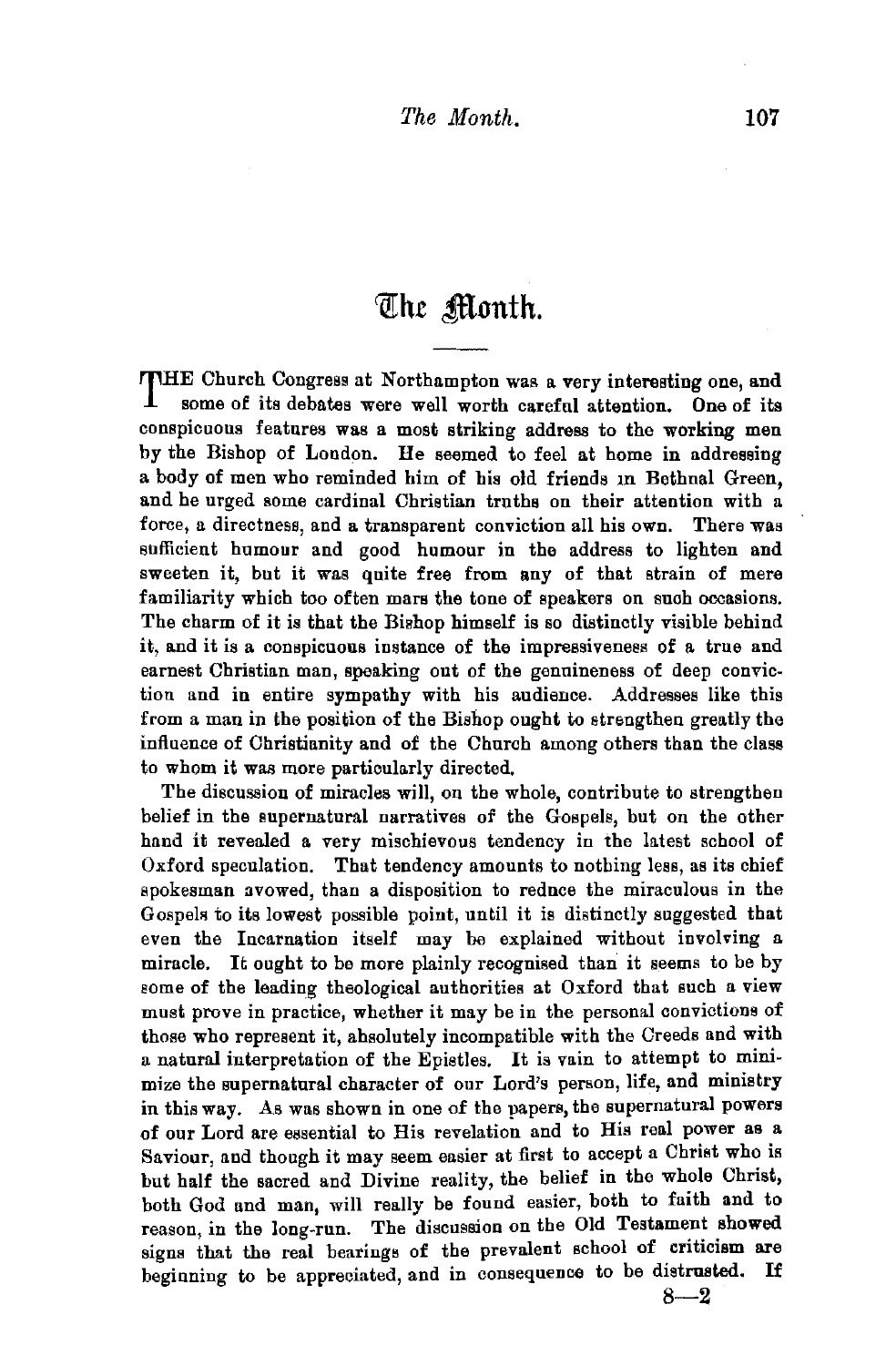## The Month.

THE Church Congress at Northampton was a very interesting one, and some of its debates were well worth careful attention. One of its conspicuous features was a most striking address to the working men by the Bishop of London. He seemed to feel at home in addressing a body of men who reminded him of his old friends in Bethnal Green, and he urged some cardinal Christian truths on their attention with a. force, a directness, and a transparent conviction all his own. There was sufficient humour and good humour in the address to lighten and sweeten it, but it was quite free from any of that strain of mere familiarity which too often mars the tone of speakers on such occasions. The charm of it is that the Bishop himself is so distinctly visible behind it, and it is a conspicuous instance of the impressiveness of a true and earnest Christian man, speaking out of the genuineness of deep conviction and in entire sympathy with his audience. Addresses like this from a man in the position of the Bishop ought to strengthen greatly the influence of Christianity and of the Church among others than the class to whom it was more particularly directed.

The discussion of miracles will, on the whole, contribute to strengthen belief in the supernatural narratives of the Gospels, but on the other hand it revealed a very mischievous tendency in the latest school of Oxford speculation. That tendency amounts to nothing less, as its chief spokesman avowed, than a disposition to reduce the miraculous in the Gospels to its lowest possible point, until it is distinctly suggested that even the Incarnation itself may be explained without involving a miracle. It ought to be more plainly recognised than it seems to be by some of the leading theological authorities at Oxford that such a view must prove in practice, whether it may be in the personal convictions of those who represent it, absolutely incompatible with the Creeds and with a natural interpretation of the Epistles. It is vain to attempt to minimize the supernatural character of our Lord's person, life, and ministry in this way. As was shown in one of the papers, the supernatural powers of our Lord are essential to His revelation and to His real power as a Saviour, and though it may seem easier at first to accept a Christ who is but half the sacred and Divine reality, the belief in the whole Christ, both God and man, will really be found easier, both to faith and to reason, in the long-run. The discussion on the Old Testament showed signs that the real bearings of the prevalent school of criticism are beginning to be appreciated, and in consequence to be distrusted. If